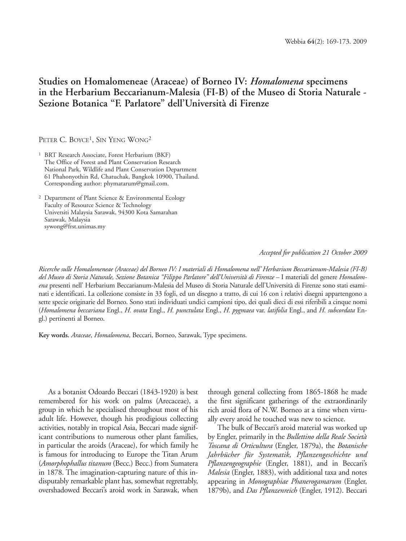# **Studies on Homalomeneae (Araceae) of Borneo IV:** *Homalomena* **specimens in the Herbarium Beccarianum-Malesia (FI-B) of the Museo di Storia Naturale - Sezione Botanica "F. Parlatore" dell'Università di Firenze**

PETER C. BOYCE<sup>1</sup>, SIN YENG WONG<sup>2</sup>

- <sup>1</sup> BRT Research Associate, Forest Herbarium (BKF) The Office of Forest and Plant Conservation Research National Park, Wildlife and Plant Conservation Department 61 Phahonyothin Rd, Chatuchak, Bangkok 10900, Thailand. Corresponding author: phymatarum@gmail.com.
- <sup>2</sup> Department of Plant Science & Environmental Ecology Faculty of Resource Science & Technology Universiti Malaysia Sarawak, 94300 Kota Samarahan Sarawak, Malaysia sywong@frst.unimas.my

*Accepted for publication 21 October 2009*

*Ricerche sulle Homalomeneae (Araceae) del Borneo IV: I materiali di Homalomena nell' Herbarium Beccarianum-Malesia (FI-B) del Museo di Storia Naturale, Sezione Botanica "Filippo Parlatore" dell'Università di Firenze* – I materiali del genere *Homalomena* presenti nell' Herbarium Beccarianum-Malesia del Museo di Storia Naturale dell'Università di Firenze sono stati esaminati e identificati. La collezione consiste in 33 fogli, ed un disegno a tratto, di cui 16 con i relativi disegni appartengono a sette specie originarie del Borneo. Sono stati individuati undici campioni tipo, dei quali dieci di essi riferibili a cinque nomi (*Homalomena beccariana* Engl., *H. ovata* Engl., *H. punctulata* Engl., *H. pygmaea* var. *latifolia* Engl., and *H. subcordata* Engl.) pertinenti al Borneo.

**Key words.** *Araceae*, *Homalomena*, Beccari, Borneo, Sarawak, Type specimens.

As a botanist Odoardo Beccari (1843-1920) is best remembered for his work on palms (Arecaceae), a group in which he specialised throughout most of his adult life. However, though his prodigious collecting activities, notably in tropical Asia, Beccari made significant contributions to numerous other plant families, in particular the aroids (Araceae), for which family he is famous for introducing to Europe the Titan Arum (*Amorphophallus titanum* (Becc.) Becc.) from Sumatera in 1878. The imagination-capturing nature of this indisputably remarkable plant has, somewhat regrettably, overshadowed Beccari's aroid work in Sarawak, when

through general collecting from 1865-1868 he made the first significant gatherings of the extraordinarily rich aroid flora of N.W. Borneo at a time when virtually every aroid he touched was new to science.

The bulk of Beccari's aroid material was worked up by Engler, primarily in the *Bullettino della Reale Società Toscana di Orticultura* **(**Engler, 1879a), the *Botanische Jahrbücher für Systematik, Pflanzengeschichte und Pflanzengeographie* (Engler, 1881), and in Beccari's *Malesia* (Engler, 1883), with additional taxa and notes appearing in *Monographiae Phanerogamarum* (Engler, 1879b), and *Das Pflanzenreich* (Engler, 1912). Beccari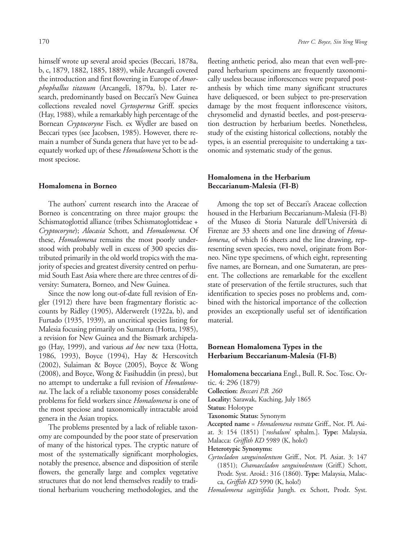himself wrote up several aroid species (Beccari, 1878a, b, c, 1879, 1882, 1885, 1889), while Arcangeli covered the introduction and first flowering in Europe of *Amorphophallus titanum* (Arcangeli, 1879a, b). Later research, predominantly based on Beccari's New Guinea collections revealed novel *Cyrtosperma* Griff. species (Hay, 1988), while a remarkably high percentage of the Bornean *Cryptocoryne* Fisch. ex Wydler are based on Beccari types (see Jacobsen, 1985). However, there remain a number of Sunda genera that have yet to be adequately worked up; of these *Homalomena* Schott is the most speciose.

#### **Homalomena in Borneo**

The authors' current research into the Araceae of Borneo is concentrating on three major groups: the Schismatoglottid alliance (tribes Schismatoglottideae + *Cryptocoryne*); *Alocasia* Schott, and *Homalomena.* Of these, *Homalomena* remains the most poorly understood with probably well in excess of 300 species distributed primarily in the old world tropics with the majority of species and greatest diversity centred on perhumid South East Asia where there are three centres of diversity: Sumatera, Borneo, and New Guinea.

Since the now long out-of-date full revision of Engler (1912) there have been fragmentary floristic accounts by Ridley (1905), Alderwerelt (1922a, b), and Furtado (1935, 1939), an uncritical species listing for Malesia focusing primarily on Sumatera (Hotta, 1985), a revision for New Guinea and the Bismark archipelago (Hay, 1999), and various *ad hoc* new taxa (Hotta, 1986, 1993), Boyce (1994), Hay & Herscovitch (2002), Sulaiman & Boyce (2005), Boyce & Wong (2008), and Boyce, Wong & Fasihuddin (in press), but no attempt to undertake a full revision of *Homalomena*. The lack of a reliable taxonomy poses considerable problems for field workers since *Homalomena* is one of the most speciose and taxonomically intractable aroid genera in the Asian tropics.

The problems presented by a lack of reliable taxonomy are compounded by the poor state of preservation of many of the historical types. The cryptic nature of most of the systematically significant morphologies, notably the presence, absence and disposition of sterile flowers, the generally large and complex vegetative structures that do not lend themselves readily to traditional herbarium vouchering methodologies, and the

fleeting anthetic period, also mean that even well-prepared herbarium specimens are frequently taxonomically useless because inflorescences were prepared postanthesis by which time many significant structures have deliquesced, or been subject to pre-preservation damage by the most frequent inflorescence visitors, chrysomelid and dynastid beetles, and post-preservation destruction by herbarium beetles. Nonetheless, study of the existing historical collections, notably the types, is an essential prerequisite to undertaking a taxonomic and systematic study of the genus.

## **Homalomena in the Herbarium Beccarianum-Malesia (FI-B)**

Among the top set of Beccari's Araceae collection housed in the Herbarium Beccarianum-Malesia (FI-B) of the Museo di Storia Naturale dell'Università di Firenze are 33 sheets and one line drawing of *Homalomena*, of which 16 sheets and the line drawing, representing seven species, two novel, originate from Borneo. Nine type specimens, of which eight, representing five names, are Bornean, and one Sumateran, are present. The collections are remarkable for the excellent state of preservation of the fertile structures, such that identification to species poses no problems and, combined with the historical importance of the collection provides an exceptionally useful set of identification material.

## **Bornean Homalomena Types in the Herbarium Beccarianum-Malesia (FI-B)**

**Homalomena beccariana** Engl., Bull. R. Soc. Tosc. Ortic. 4: 296 (1879) **Collection:** *Beccari P.B. 260* **Locality:** Sarawak, Kuching, July 1865 **Status:** Holotype **Taxonomic Status:** Synonym **Accepted name** = *Homalomena rostrata* Griff., Not. Pl. Asiat. 3: 154 (1851) ['*roshalum*' sphalm.]. **Type:** Malaysia, Malacca: *Griffith KD* 5989 (K, holo!)

**Heterotypic Synonyms:** 

*Cyrtocladon sanguinolentum* Griff., Not. Pl. Asiat. 3: 147 (1851); *Chamaecladon sanguinolentum* (Griff.) Schott, Prodr. Syst. Aroid.: 316 (1860). **Type:** Malaysia, Malacca, *Griffith KD* 5990 (K, holo!)

*Homalomena sagittifolia* Jungh. ex Schott, Prodr. Syst.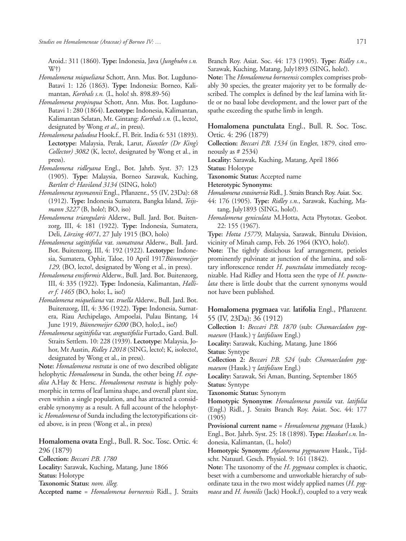Aroid.: 311 (1860). **Type:** Indonesia, Java (*Junghuhn s.n.* W†)

- *Homalomena miqueliana* Schott, Ann. Mus. Bot. Lugduno-Batavi 1: 126 (1863). **Type:** Indonesia: Borneo, Kalimantan, *Korthals s.n.* (L, holo! sh. 898.89-56)
- *Homalomena propinqua* Schott, Ann. Mus. Bot. Lugduno-Batavi 1: 280 (1864). **Lectotype:** Indonesia, Kalimantan, Kalimantan Selatan, Mt. Gintang: *Korthals s.n.* (L, lecto!, designated by Wong *et al*., in press).
- *Homalomena paludosa* Hook.f., Fl. Brit. India 6: 531 (1893). **Lectotype:** Malaysia, Perak, Larut, *Kunstler (Dr King's Collector) 3082* (K, lecto!, designated by Wong et al., in press).
- *Homalomena ridleyana* Engl., Bot. Jahrb. Syst. 37: 123 (1905). **Type:** Malaysia, Borneo Sarawak, Kuching, *Bartlett & Haviland 3134* (SING, holo!)
- *Homalomena teysmannii* Engl., Pflanzenr., 55 (IV, 23Da): 68 (1912). **Type:** Indonesia Sumatera, Bangka Island, *Teijsmann 3227* (B, holo!; BO, iso)
- *Homalomena triangularis* Alderw., Bull. Jard. Bot. Buitenzorg, III, 4: 181 (1922). **Type:** Indonesia, Sumatera, Deli, *Lörzing 4071*, 27 July 1915 (BO, holo)
- *Homalomena sagittifolia* var. *sumatrana* Alderw., Bull. Jard. Bot. Buitenzorg, III, 4: 192 (1922). **Lectotype:** Indonesia, Sumatera, Ophir, Taloe, 10 April 1917*Bünnemeijer 129,* (BO, lecto!, designated by Wong et al., in press).
- *Homalomena ensiformis* Alderw., Bull. Jard. Bot. Buitenzorg, III, 4: 335 (1922). **Type:** Indonesia, Kalimantan, *Hallier f*. *1465* (BO, holo; L, iso!)
- *Homalomena miqueliana* var. *truella* Alderw., Bull. Jard. Bot. Buitenzorg, III, 4: 336 (1922). **Type:** Indonesia, Sumatera, Riau Archipelago, Ampoelai, Pulau Bintang, 14 June 1919, *Bünnemeijer 6200* (BO, holo;L, iso!)
- *Homalomena sagittifolia* var. *angustifolia* Furtado, Gard. Bull. Straits Settlem. 10: 228 (1939). **Lectotype:** Malaysia, Johor, Mt Austin, *Ridley 12018* (SING, lecto!; K, isolecto!, designated by Wong et al., in press).

**Note:** *Homalomena rostrata* is one of two described obligate helophytic *Homalomena* in Sunda, the other being *H. expedita* A.Hay & Hersc. *Homalomena rostrata* is highly polymorphic in terms of leaf lamina shape, and overall plant size, even within a single population, and has attracted a considerable synonymy as a result. A full account of the helophytic *Homalomena* of Sunda including the lectotypifications cited above, is in press (Wong et al., in press)

**Homalomena ovata** Engl., Bull. R. Soc. Tosc. Ortic. 4: 296 (1879)

**Collection:** *Beccari P.B. 1780*

**Locality:** Sarawak, Kuching, Matang, June 1866

**Status:** Holotype

**Taxonomic Status:** *nom. illeg.*

**Accepted name** = *Homalomena borneensis* Ridl., J. Straits

Branch Roy. Asiat. Soc. 44: 173 (1905). **Type:** *Ridley s.n.*, Sarawak, Kuching, Matang, July1893 (SING, holo!).

**Note:** The *Homalomena borneensis* complex comprises probably 30 species, the greater majority yet to be formally described. The complex is defined by the leaf lamina with little or no basal lobe development, and the lower part of the spathe exceeding the spathe limb in length.

**Homalomena punctulata** Engl., Bull. R. Soc. Tosc. Ortic. 4: 296 (1879)

**Collection:** *Beccari P.B. 1534* (in Engler, 1879, cited erroneously as # 2534)

**Locality:** Sarawak, Kuching, Matang, April 1866

**Status:** Holotype

**Taxonomic Status:** Accepted name

**Heterotypic Synonyms:**

*Homalomena crassinervia* Ridl., J. Straits Branch Roy. Asiat. Soc.

44: 176 (1905). **Type:** *Ridley s.n.*, Sarawak, Kuching, Ma tang, July1893 (SING, holo!).

*Homalomena geniculata* M.Hotta, Acta Phytotax. Geobot. 22: 155 (1967).

**Type:** *Hotta 15779*, Malaysia, Sarawak, Bintulu Division, vicinity of Minah camp, Feb. 26 1964 (KYO, holo!).

**Note:** The tightly distichous leaf arrangement, petioles prominently pulvinate at junction of the lamina, and solitary inflorescence render *H*. *punctulata* immediately recognizable. Had Ridley and Hotta seen the type of *H. punctulata* there is little doubt that the current synonyms would not have been published.

**Homalomena pygmaea** var. **latifolia** Engl., Pflanzenr. 55 (IV, 23Da): 36 (1912)

**Collection 1:** *Beccari P.B. 1870* (sub: *Chamaecladon pygmaeum* (Hassk.) γ *latifolium* Engl.)

**Locality:** Sarawak, Kuching, Matang, June 1866 **Status:** Syntype

**Collection 2:** *Beccari P.B. 524* (sub: *Chamaecladon pygmaeum* (Hassk.) γ *latifolium* Engl.)

**Locality:** Sarawak, Sri Aman, Bunting, September 1865 **Status:** Syntype

**Taxonomic Status:** Synonym

**Homotypic Synonyms:** *Homalomena pumila* var. *latifolia* (Engl.) Ridl., J. Straits Branch Roy. Asiat. Soc. 44: 177 (1905)

**Provisional current name** = *Homalomena pygmaea* (Hassk.) Engl., Bot. Jahrb. Syst. 25: 18 (1898). **Type:** *Hasskarl s.n.* Indonesia, Kalimantan, (L, holo!)

**Homotypic Synonym:** *Aglaonema pygmaeum* Hassk., Tijdschr. Natuurl. Gesch. Physiol. 9: 161 (1842).

**Note:** The taxonomy of the *H*. *pygmaea* complex is chaotic, beset with a cumbersome and unworkable hierarchy of subordinate taxa in the two most widely applied names (*H. pygmaea* and *H. humilis* (Jack) Hook.f), coupled to a very weak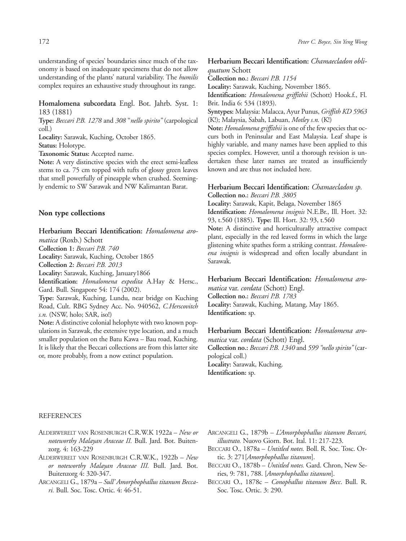understanding of species' boundaries since much of the taxonomy is based on inadequate specimens that do not allow understanding of the plants' natural variability. The *humilis* complex requires an exhaustive study throughout its range.

**Homalomena subcordata** Engl. Bot. Jahrb. Syst. 1: 183 (1881)

**Type:** *Beccari P.B. 1278* and *308* "*nello spirito"* (carpological coll.)

**Locality:** Sarawak, Kuching, October 1865.

**Status:** Holotype.

**Taxonomic Status:** Accepted name.

**Note:** A very distinctive species with the erect semi-leafless stems to ca. 75 cm topped with tufts of glossy green leaves that smell powerfully of pineapple when crushed. Seemingly endemic to SW Sarawak and NW Kalimantan Barat.

## **Non type collections**

**Herbarium Beccari Identification:** *Homalomena aro-*

*matica* (Roxb.) Schott

**Collection 1:** *Beccari P.B. 740*

**Locality:** Sarawak, Kuching, October 1865

**Collection 2:** *Beccari P.B. 2013*

**Locality:** Sarawak, Kuching, January1866

**Identification:** *Homalomena expedita* A.Hay & Hersc., Gard. Bull. Singapore 54: 174 (2002).

**Type:** Sarawak, Kuching, Lundu, near bridge on Kuching Road, Cult. RBG Sydney Acc. No. 940562, *C.Herscovitch s.n.* (NSW, holo; SAR, iso!)

**Note:** A distinctive colonial helophyte with two known populations in Sarawak, the extensive type location, and a much smaller population on the Batu Kawa – Bau road, Kuching. It is likely that the Beccari collections are from this latter site or, more probably, from a now extinct population.

**Herbarium Beccari Identification:** *Chamaecladon obliquatum* Schott

**Collection no.:** *Beccari P.B. 1154*

**Locality:** Sarawak, Kuching, November 1865.

**Identification:** *Homalomena griffithii* (Schott) Hook.f., Fl. Brit. India 6: 534 (1893).

**Syntypes:** Malaysia: Malacca, Ayur Punus, *Griffith KD 5963* (K!); Malaysia, Sabah, Labuan, *Motley s.n.* (K!)

**Note:** *Homalomena griffithii* is one of the few species that occurs both in Peninsular and East Malaysia. Leaf shape is highly variable, and many names have been applied to this species complex. However, until a thorough revision is undertaken these later names are treated as insufficiently known and are thus not included here.

#### **Herbarium Beccari Identification:** *Chamaecladon sp.* **Collection no.:** *Beccari P.B. 3805*

**Locality:** Sarawak, Kapit, Belaga, November 1865 **Identification:** *Homalomena insignis* N.E.Br., Ill. Hort. 32: 93, t.560 (1885)**. Type:** Ill. Hort. 32: 93, t.560 **Note:** A distinctive and horticulturally attractive compact plant, especially in the red leaved forms in which the large glistening white spathes form a striking contrast. *Homalomena insignis* is widespread and often locally abundant in Sarawak.

**Herbarium Beccari Identification:** *Homalomena aro-*

*matica* var. *cordata* (Schott) Engl. **Collection no.:** *Beccari P.B. 1783* **Locality:** Sarawak, Kuching, Matang, May 1865. **Identification:** sp.

**Herbarium Beccari Identification:** *Homalomena aromatica* var. *cordata* (Schott) Engl.

**Collection no.:** *Beccari P.B. 1340* and *599 "nello spirito"* (carpological coll.) **Locality:** Sarawak, Kuching. **Identification:** sp.

#### **REFERENCES**

- ALDERWERELT VAN ROSENBURGH C.R.W.K 1922a *New or noteworthy Malayan Araceae II.* Bull. Jard. Bot. Buitenzorg. 4: 163-229
- ALDERWERELT VAN ROSENBURGH C.R.W.K., 1922b *New or noteworthy Malayan Araceae III.* Bull. Jard. Bot. Buitenzorg 4: 320-347.
- ARCANGELI G., 1879a *Sull' Amorphophallus titanum Beccari.* Bull. Soc. Tosc. Ortic. 4: 46-51.
- ARCANGELI G., 1879b *L'Amorphophallus titanum Beccari, illustrato.* Nuovo Giorn. Bot. Ital. 11: 217-223.
- BECCARI O., 1878a *Untitled notes.* Boll. R. Soc. Tosc. Ortic. 3: 271[*Amorphophallus titanum*].
- BECCARI O., 1878b *Untitled notes.* Gard. Chron, New Series, 9: 781, 788. [*Amorphophallus titanum*].
- BECCARI O., 1878c *Conophallus titanum Becc*. Bull. R. Soc. Tosc. Ortic. 3: 290.